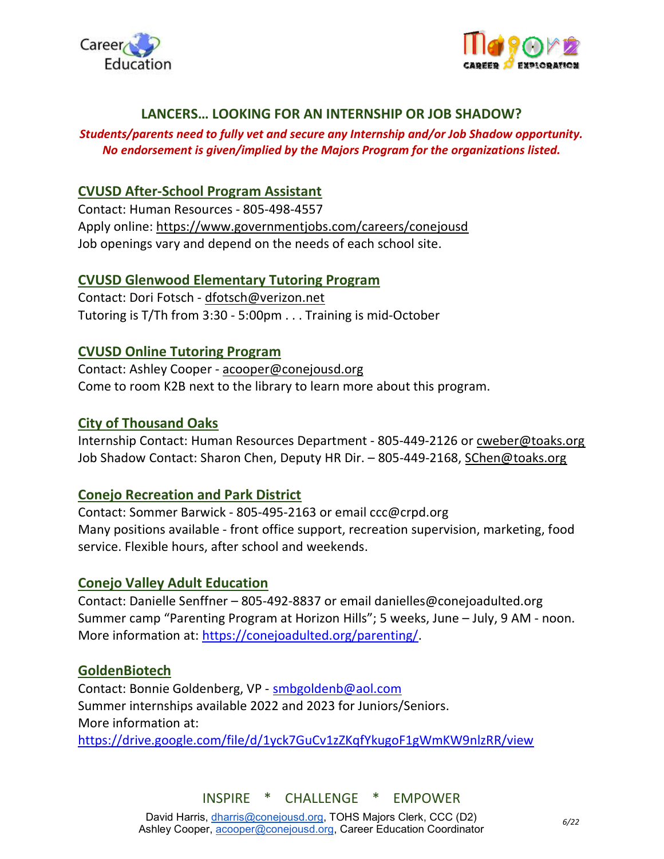



## LANCERS… LOOKING FOR AN INTERNSHIP OR JOB SHADOW?

#### Students/parents need to fully vet and secure any Internship and/or Job Shadow opportunity. No endorsement is given/implied by the Majors Program for the organizations listed.

## CVUSD After-School Program Assistant

Contact: Human Resources - 805-498-4557 Apply online: https://www.governmentjobs.com/careers/conejousd Job openings vary and depend on the needs of each school site.

### CVUSD Glenwood Elementary Tutoring Program

Contact: Dori Fotsch - dfotsch@verizon.net Tutoring is T/Th from 3:30 - 5:00pm . . . Training is mid-October

# CVUSD Online Tutoring Program

Contact: Ashley Cooper - acooper@conejousd.org Come to room K2B next to the library to learn more about this program.

# City of Thousand Oaks

Internship Contact: Human Resources Department - 805-449-2126 or cweber@toaks.org Job Shadow Contact: Sharon Chen, Deputy HR Dir. - 805-449-2168, SChen@toaks.org

### Conejo Recreation and Park District

Contact: Sommer Barwick - 805-495-2163 or email ccc@crpd.org Many positions available - front office support, recreation supervision, marketing, food service. Flexible hours, after school and weekends.

### Conejo Valley Adult Education

Contact: Danielle Senffner – 805-492-8837 or email danielles@conejoadulted.org Summer camp "Parenting Program at Horizon Hills"; 5 weeks, June – July, 9 AM - noon. More information at: https://conejoadulted.org/parenting/.

### GoldenBiotech

Contact: Bonnie Goldenberg, VP - smbgoldenb@aol.com Summer internships available 2022 and 2023 for Juniors/Seniors. More information at: https://drive.google.com/file/d/1yck7GuCv1zZKqfYkugoF1gWmKW9nlzRR/view